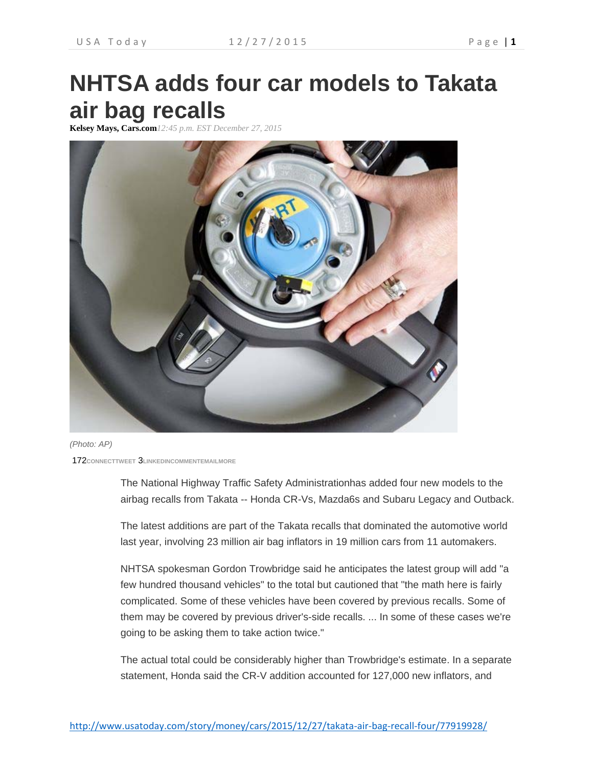## **NHTSA adds four car models to Takata air bag recalls**

**Kelsey Mays, Cars.com***12:45 p.m. EST December 27, 2015*



*(Photo: AP)*

172**CONNECTTWEET** 3**LINKEDINCOMMENTEMAILMORE**

The National Highway Traffic Safety Administrationhas added four new models to the airbag recalls from Takata -- Honda CR-Vs, Mazda6s and Subaru Legacy and Outback.

The latest additions are part of the Takata recalls that dominated the automotive world last year, involving 23 million air bag inflators in 19 million cars from 11 automakers.

NHTSA spokesman Gordon Trowbridge said he anticipates the latest group will add "a few hundred thousand vehicles" to the total but cautioned that "the math here is fairly complicated. Some of these vehicles have been covered by previous recalls. Some of them may be covered by previous driver's-side recalls. ... In some of these cases we're going to be asking them to take action twice."

The actual total could be considerably higher than Trowbridge's estimate. In a separate statement, Honda said the CR-V addition accounted for 127,000 new inflators, and